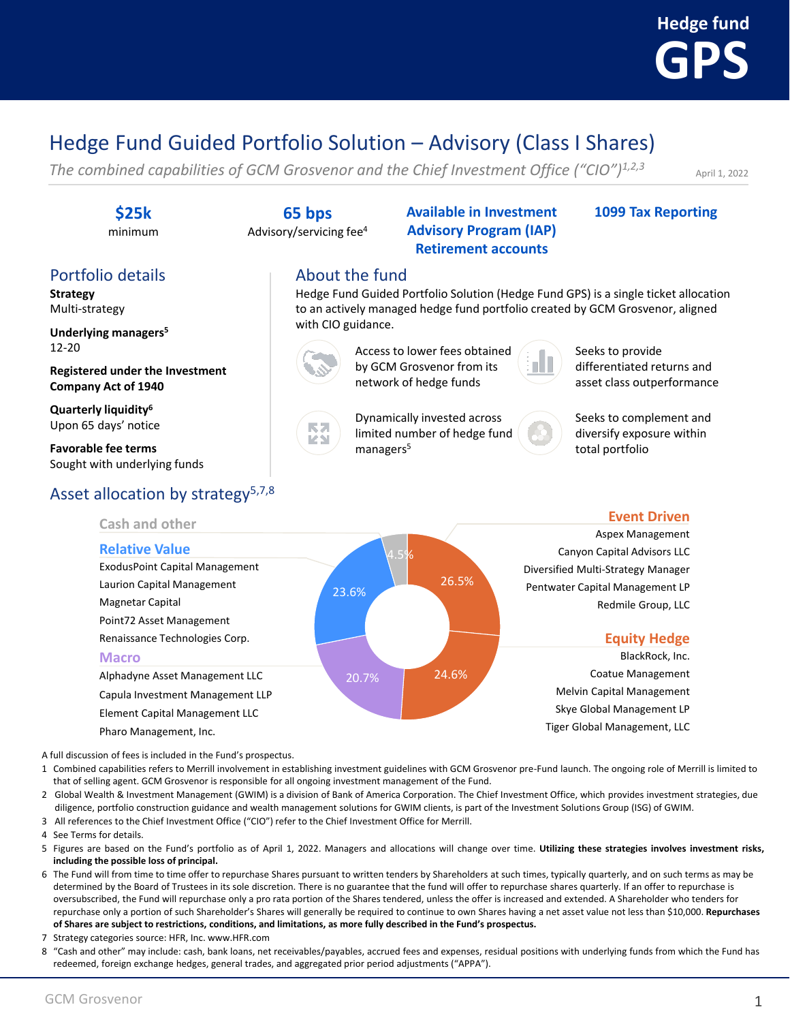# **GPS Hedge fund**

## Hedge Fund Guided Portfolio Solution – Advisory (Class I Shares)

About the fund

with CIO guidance.

**ZST** 

*The combined capabilities of GCM Grosvenor and the Chief Investment Office ("CIO")1,2,3*

April 1, 2022

#### **\$25k**

minimum

### Portfolio details

**Strategy** Multi-strategy

**Underlying managers<sup>5</sup>** 12-20

**Registered under the Investment Company Act of 1940**

**Quarterly liquidity<sup>6</sup>** Upon 65 days' notice

**Favorable fee terms** Sought with underlying funds

### Asset allocation by strategy<sup>5,7,8</sup>

A full discussion of fees is included in the Fund's prospectus.

- 1 Combined capabilities refers to Merrill involvement in establishing investment guidelines with GCM Grosvenor pre-Fund launch. The ongoing role of Merrill is limited to that of selling agent. GCM Grosvenor is responsible for all ongoing investment management of the Fund.
- 2 Global Wealth & Investment Management (GWIM) is a division of Bank of America Corporation. The Chief Investment Office, which provides investment strategies, due diligence, portfolio construction guidance and wealth management solutions for GWIM clients, is part of the Investment Solutions Group (ISG) of GWIM.
- 3 All references to the Chief Investment Office ("CIO") refer to the Chief Investment Office for Merrill.
- 4 See Terms for details.
- 5 Figures are based on the Fund's portfolio as of April 1, 2022. Managers and allocations will change over time. **Utilizing these strategies involves investment risks, including the possible loss of principal.**
- 6 The Fund will from time to time offer to repurchase Shares pursuant to written tenders by Shareholders at such times, typically quarterly, and on such terms as may be determined by the Board of Trustees in its sole discretion. There is no guarantee that the fund will offer to repurchase shares quarterly. If an offer to repurchase is oversubscribed, the Fund will repurchase only a pro rata portion of the Shares tendered, unless the offer is increased and extended. A Shareholder who tenders for repurchase only a portion of such Shareholder's Shares will generally be required to continue to own Shares having a net asset value not less than \$10,000. **Repurchases of Shares are subject to restrictions, conditions, and limitations, as more fully described in the Fund's prospectus.**
- 7 Strategy categories source: HFR, Inc. www.HFR.com
- 8 "Cash and other" may include: cash, bank loans, net receivables/payables, accrued fees and expenses, residual positions with underlying funds from which the Fund has redeemed, foreign exchange hedges, general trades, and aggregated prior period adjustments ("APPA").

**65 bps** Advisory/servicing fee<sup>4</sup> **Available in Investment Advisory Program (IAP) Retirement accounts**

Hedge Fund Guided Portfolio Solution (Hedge Fund GPS) is a single ticket allocation to an actively managed hedge fund portfolio created by GCM Grosvenor, aligned

> Access to lower fees obtained by GCM Grosvenor from its network of hedge funds

> Dynamically invested across limited number of hedge fund

#### **1099 Tax Reporting**

Seeks to complement and diversify exposure within

differentiated returns and asset class outperformance

Seeks to provide

total portfolio



managers<sup>5</sup>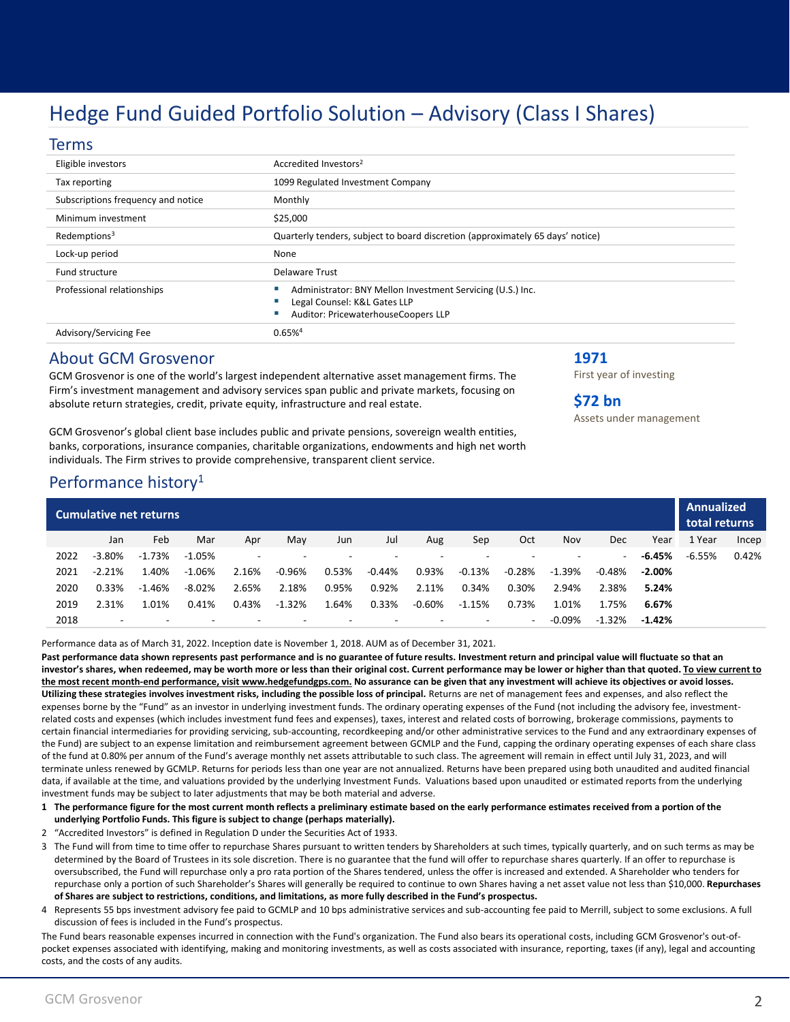### Hedge Fund Guided Portfolio Solution – Advisory (Class I Shares)

#### Terms

| Eligible investors                 | Accredited Investors <sup>2</sup>                                                                                                 |  |  |  |  |  |  |
|------------------------------------|-----------------------------------------------------------------------------------------------------------------------------------|--|--|--|--|--|--|
| Tax reporting                      | 1099 Regulated Investment Company                                                                                                 |  |  |  |  |  |  |
| Subscriptions frequency and notice | Monthly                                                                                                                           |  |  |  |  |  |  |
| Minimum investment                 | \$25,000                                                                                                                          |  |  |  |  |  |  |
| Redemptions <sup>3</sup>           | Quarterly tenders, subject to board discretion (approximately 65 days' notice)                                                    |  |  |  |  |  |  |
| Lock-up period                     | None                                                                                                                              |  |  |  |  |  |  |
| <b>Fund structure</b>              | Delaware Trust                                                                                                                    |  |  |  |  |  |  |
| Professional relationships         | Administrator: BNY Mellon Investment Servicing (U.S.) Inc.<br>Legal Counsel: K&L Gates LLP<br>Auditor: PricewaterhouseCoopers LLP |  |  |  |  |  |  |
| Advisory/Servicing Fee             | 0.65%4                                                                                                                            |  |  |  |  |  |  |
|                                    |                                                                                                                                   |  |  |  |  |  |  |

**1971**

**\$72 bn**

First year of investing

Assets under management

#### About GCM Grosvenor

GCM Grosvenor is one of the world's largest independent alternative asset management firms. The Firm's investment management and advisory services span public and private markets, focusing on absolute return strategies, credit, private equity, infrastructure and real estate.

GCM Grosvenor's global client base includes public and private pensions, sovereign wealth entities, banks, corporations, insurance companies, charitable organizations, endowments and high net worth individuals. The Firm strives to provide comprehensive, transparent client service.

#### Performance history<sup>1</sup>

| Cumulative net returns |                          |                          |                          |                          |           |                          |                          |           |                          |                          | Annualized<br>total returns |          |           |          |       |
|------------------------|--------------------------|--------------------------|--------------------------|--------------------------|-----------|--------------------------|--------------------------|-----------|--------------------------|--------------------------|-----------------------------|----------|-----------|----------|-------|
|                        | Jan                      | Feb                      | Mar                      | Apr                      | May       | Jun                      | Jul                      | Aug       | Sep                      | Oct                      | Nov                         | Dec      | Year      | 1 Year   | Incep |
| 2022                   | $-3.80\%$                | $-1.73%$                 | $-1.05%$                 | $\overline{\phantom{a}}$ |           | $\overline{\phantom{a}}$ | $\overline{\phantom{a}}$ |           |                          | $\overline{\phantom{a}}$ | $\overline{\phantom{a}}$    | -        | -6.45%    | $-6.55%$ | 0.42% |
| 2021                   | $-2.21%$                 | 1.40%                    | $-1.06\%$                | 2.16%                    | -0.96%    | 0.53%                    | -0.44%                   | 0.93%     | -0.13%                   | $-0.28%$                 | -1.39%                      | $-0.48%$ | $-2.00\%$ |          |       |
| 2020                   | 0.33%                    | $-1.46%$                 | $-8.02%$                 | 2.65%                    | 2.18%     | 0.95%                    | 0.92%                    | 2.11%     | 0.34%                    | 0.30%                    | 2.94%                       | 2.38%    | 5.24%     |          |       |
| 2019                   | 2.31%                    | 1.01%                    | 0.41%                    | 0.43%                    | $-1.32\%$ | 1.64%                    | 0.33%                    | $-0.60\%$ | $-1.15%$                 | 0.73%                    | 1.01%                       | 1.75%    | 6.67%     |          |       |
| 2018                   | $\overline{\phantom{0}}$ | $\overline{\phantom{a}}$ | $\overline{\phantom{a}}$ | $\overline{\phantom{a}}$ |           | $\overline{\phantom{a}}$ | $\overline{\phantom{a}}$ | -         | $\overline{\phantom{a}}$ | $\overline{\phantom{a}}$ | $-0.09\%$                   | $-1.32%$ | $-1.42%$  |          |       |

Performance data as of March 31, 2022. Inception date is November 1, 2018. AUM as of December 31, 2021.

**Past performance data shown represents past performance and is no guarantee of future results. Investment return and principal value will fluctuate so that an investor's shares, when redeemed, may be worth more or less than their original cost. Current performance may be lower or higher than that quoted. To view current to the most recent month-end performance, visit www.hedgefundgps.com. No assurance can be given that any investment will achieve its objectives or avoid losses.**  Utilizing these strategies involves investment risks, including the possible loss of principal. Returns are net of management fees and expenses, and also reflect the expenses borne by the "Fund" as an investor in underlying investment funds. The ordinary operating expenses of the Fund (not including the advisory fee, investmentrelated costs and expenses (which includes investment fund fees and expenses), taxes, interest and related costs of borrowing, brokerage commissions, payments to certain financial intermediaries for providing servicing, sub-accounting, recordkeeping and/or other administrative services to the Fund and any extraordinary expenses of the Fund) are subject to an expense limitation and reimbursement agreement between GCMLP and the Fund, capping the ordinary operating expenses of each share class of the fund at 0.80% per annum of the Fund's average monthly net assets attributable to such class. The agreement will remain in effect until July 31, 2023, and will terminate unless renewed by GCMLP. Returns for periods less than one year are not annualized. Returns have been prepared using both unaudited and audited financial data, if available at the time, and valuations provided by the underlying Investment Funds. Valuations based upon unaudited or estimated reports from the underlying investment funds may be subject to later adjustments that may be both material and adverse.

**1 The performance figure for the most current month reflects a preliminary estimate based on the early performance estimates received from a portion of the underlying Portfolio Funds. This figure is subject to change (perhaps materially).** 

2 "Accredited Investors" is defined in Regulation D under the Securities Act of 1933.

3 The Fund will from time to time offer to repurchase Shares pursuant to written tenders by Shareholders at such times, typically quarterly, and on such terms as may be determined by the Board of Trustees in its sole discretion. There is no guarantee that the fund will offer to repurchase shares quarterly. If an offer to repurchase is oversubscribed, the Fund will repurchase only a pro rata portion of the Shares tendered, unless the offer is increased and extended. A Shareholder who tenders for repurchase only a portion of such Shareholder's Shares will generally be required to continue to own Shares having a net asset value not less than \$10,000. **Repurchases of Shares are subject to restrictions, conditions, and limitations, as more fully described in the Fund's prospectus.**

4 Represents 55 bps investment advisory fee paid to GCMLP and 10 bps administrative services and sub-accounting fee paid to Merrill, subject to some exclusions. A full discussion of fees is included in the Fund's prospectus.

The Fund bears reasonable expenses incurred in connection with the Fund's organization. The Fund also bears its operational costs, including GCM Grosvenor's out-ofpocket expenses associated with identifying, making and monitoring investments, as well as costs associated with insurance, reporting, taxes (if any), legal and accounting costs, and the costs of any audits.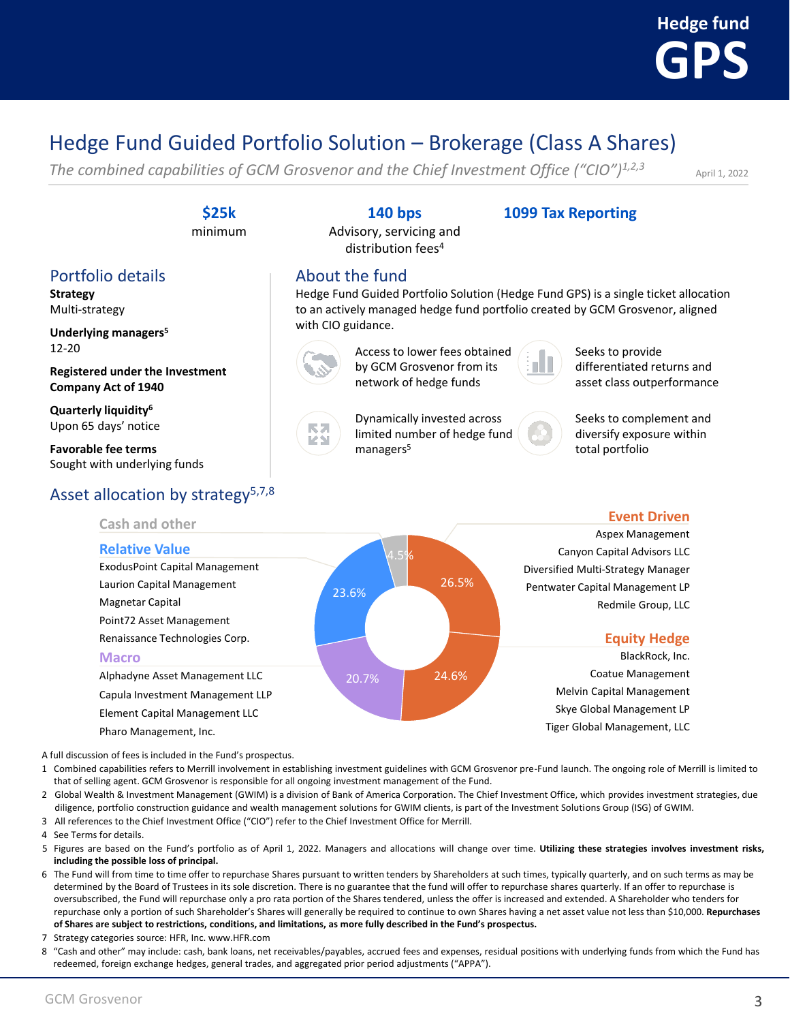

### Hedge Fund Guided Portfolio Solution – Brokerage (Class A Shares)

*The combined capabilities of GCM Grosvenor and the Chief Investment Office ("CIO")1,2,3*

April 1, 2022

#### **\$25k**

minimum

#### Portfolio details

**Strategy** Multi-strategy

**Underlying managers<sup>5</sup>** 12-20

**Registered under the Investment Company Act of 1940**

**Quarterly liquidity<sup>6</sup>** Upon 65 days' notice

**Favorable fee terms** Sought with underlying funds

### Asset allocation by strategy $5,7,8$

### **140 bps**

Advisory, servicing and distribution fees<sup>4</sup>

#### **1099 Tax Reporting**

About the fund

Hedge Fund Guided Portfolio Solution (Hedge Fund GPS) is a single ticket allocation to an actively managed hedge fund portfolio created by GCM Grosvenor, aligned with CIO guidance.



KN

Access to lower fees obtained by GCM Grosvenor from its network of hedge funds

Dynamically invested across limited number of hedge fund



Seeks to provide differentiated returns and asset class outperformance



Seeks to complement and diversify exposure within total portfolio



managers<sup>5</sup>

A full discussion of fees is included in the Fund's prospectus.

- 1 Combined capabilities refers to Merrill involvement in establishing investment guidelines with GCM Grosvenor pre-Fund launch. The ongoing role of Merrill is limited to that of selling agent. GCM Grosvenor is responsible for all ongoing investment management of the Fund.
- 2 Global Wealth & Investment Management (GWIM) is a division of Bank of America Corporation. The Chief Investment Office, which provides investment strategies, due diligence, portfolio construction guidance and wealth management solutions for GWIM clients, is part of the Investment Solutions Group (ISG) of GWIM.
- 3 All references to the Chief Investment Office ("CIO") refer to the Chief Investment Office for Merrill.
- 4 See Terms for details.
- 5 Figures are based on the Fund's portfolio as of April 1, 2022. Managers and allocations will change over time. **Utilizing these strategies involves investment risks, including the possible loss of principal.**
- 6 The Fund will from time to time offer to repurchase Shares pursuant to written tenders by Shareholders at such times, typically quarterly, and on such terms as may be determined by the Board of Trustees in its sole discretion. There is no guarantee that the fund will offer to repurchase shares quarterly. If an offer to repurchase is oversubscribed, the Fund will repurchase only a pro rata portion of the Shares tendered, unless the offer is increased and extended. A Shareholder who tenders for repurchase only a portion of such Shareholder's Shares will generally be required to continue to own Shares having a net asset value not less than \$10,000. **Repurchases of Shares are subject to restrictions, conditions, and limitations, as more fully described in the Fund's prospectus.**
- 7 Strategy categories source: HFR, Inc. www.HFR.com
- 8 "Cash and other" may include: cash, bank loans, net receivables/payables, accrued fees and expenses, residual positions with underlying funds from which the Fund has redeemed, foreign exchange hedges, general trades, and aggregated prior period adjustments ("APPA").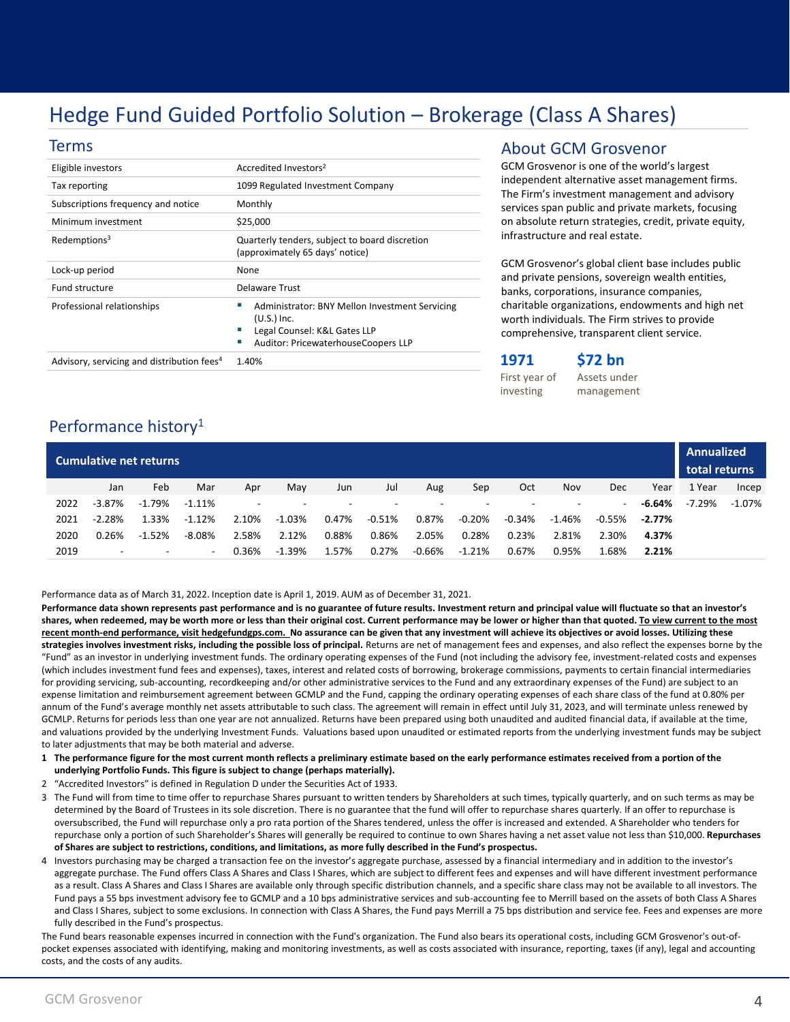### Hedge Fund Guided Portfolio Solution – Brokerage (Class A Shares)

#### Terms

| Eligible investors                                     | Accredited Investors <sup>2</sup>                                                                                                      |
|--------------------------------------------------------|----------------------------------------------------------------------------------------------------------------------------------------|
| Tax reporting                                          | 1099 Regulated Investment Company                                                                                                      |
| Subscriptions frequency and notice                     | Monthly                                                                                                                                |
| Minimum investment                                     | \$25,000                                                                                                                               |
| Redemptions <sup>3</sup>                               | Quarterly tenders, subject to board discretion<br>(approximately 65 days' notice)                                                      |
| Lock-up period                                         | None                                                                                                                                   |
| Fund structure                                         | Delaware Trust                                                                                                                         |
| Professional relationships                             | Administrator: BNY Mellon Investment Servicing<br>$(U.S.)$ Inc.<br>Legal Counsel: K&L Gates LLP<br>Auditor: PricewaterhouseCoopers LLP |
| Advisory, servicing and distribution fees <sup>4</sup> | 1.40%                                                                                                                                  |

#### About GCM Grosvenor

GCM Grosvenor is one of the world's largest independent alternative asset management firms. The Firm's investment management and advisory services span public and private markets, focusing on absolute return strategies, credit, private equity, infrastructure and real estate.

GCM Grosvenor's global client base includes public and private pensions, sovereign wealth entities, banks, corporations, insurance companies, charitable organizations, endowments and high net worth individuals. The Firm strives to provide comprehensive, transparent client service.

#### **1971 \$72 bn**

First year of investing

Assets under management

#### Performance history<sup>1</sup>

| Cumulative net returns |           |                          |                          |       |           |       |          |          |          |          | <b>Annualized</b><br>total returns |            |           |        |        |
|------------------------|-----------|--------------------------|--------------------------|-------|-----------|-------|----------|----------|----------|----------|------------------------------------|------------|-----------|--------|--------|
|                        | Jan       | Feb                      | Mar                      | Apr   | May       | Jun   | Jul      | Aug      | Sep      | Oct      | Nov                                | <b>Dec</b> | Year      | 1 Year | Incep  |
| 2022                   | $-3.87\%$ | $-1.79%$                 | $-1.11\%$                |       |           |       |          |          |          |          |                                    |            | $-6.64%$  | -7.29% | -1.07% |
| 2021                   | $-2.28%$  | 1.33%                    | $-1.12%$                 | 2.10% | $-1.03\%$ | 0.47% | $-0.51%$ | 0.87%    | $-0.20%$ | $-0.34%$ | $-1.46%$                           | -0.55%     | $-2.77\%$ |        |        |
| 2020                   | 0.26%     | $-1.52%$                 | -8.08%                   | 2.58% | 2.12%     | 0.88% | 0.86%    | 2.05%    | 0.28%    | 0.23%    | 2.81%                              | 2.30%      | 4.37%     |        |        |
| 2019                   | ۰         | $\overline{\phantom{a}}$ | $\overline{\phantom{a}}$ | 0.36% | $-1.39%$  | 1.57% | 0.27%    | $-0.66%$ | $-1.21%$ | 0.67%    | 0.95%                              | 1.68%      | 2.21%     |        |        |

Performance data as of March 31, 2022. Inception date is April 1, 2019. AUM as of December 31, 2021.

**Performance data shown represents past performance and is no guarantee of future results. Investment return and principal value will fluctuate so that an investor's shares, when redeemed, may be worth more or less than their original cost. Current performance may be lower or higher than that quoted. To view current to the most recent month-end performance, visit hedgefundgps.com. No assurance can be given that any investment will achieve its objectives or avoid losses. Utilizing these**  strategies involves investment risks, including the possible loss of principal. Returns are net of management fees and expenses, and also reflect the expenses borne by the "Fund" as an investor in underlying investment funds. The ordinary operating expenses of the Fund (not including the advisory fee, investment-related costs and expenses (which includes investment fund fees and expenses), taxes, interest and related costs of borrowing, brokerage commissions, payments to certain financial intermediaries for providing servicing, sub-accounting, recordkeeping and/or other administrative services to the Fund and any extraordinary expenses of the Fund) are subject to an expense limitation and reimbursement agreement between GCMLP and the Fund, capping the ordinary operating expenses of each share class of the fund at 0.80% per annum of the Fund's average monthly net assets attributable to such class. The agreement will remain in effect until July 31, 2023, and will terminate unless renewed by GCMLP. Returns for periods less than one year are not annualized. Returns have been prepared using both unaudited and audited financial data, if available at the time, and valuations provided by the underlying Investment Funds. Valuations based upon unaudited or estimated reports from the underlying investment funds may be subject to later adjustments that may be both material and adverse.

- **1 The performance figure for the most current month reflects a preliminary estimate based on the early performance estimates received from a portion of the underlying Portfolio Funds. This figure is subject to change (perhaps materially).**
- 2 "Accredited Investors" is defined in Regulation D under the Securities Act of 1933.
- 3 The Fund will from time to time offer to repurchase Shares pursuant to written tenders by Shareholders at such times, typically quarterly, and on such terms as may be determined by the Board of Trustees in its sole discretion. There is no guarantee that the fund will offer to repurchase shares quarterly. If an offer to repurchase is oversubscribed, the Fund will repurchase only a pro rata portion of the Shares tendered, unless the offer is increased and extended. A Shareholder who tenders for repurchase only a portion of such Shareholder's Shares will generally be required to continue to own Shares having a net asset value not less than \$10,000. **Repurchases of Shares are subject to restrictions, conditions, and limitations, as more fully described in the Fund's prospectus.**
- 4 Investors purchasing may be charged a transaction fee on the investor's aggregate purchase, assessed by a financial intermediary and in addition to the investor's aggregate purchase. The Fund offers Class A Shares and Class I Shares, which are subject to different fees and expenses and will have different investment performance as a result. Class A Shares and Class I Shares are available only through specific distribution channels, and a specific share class may not be available to all investors. The Fund pays a 55 bps investment advisory fee to GCMLP and a 10 bps administrative services and sub-accounting fee to Merrill based on the assets of both Class A Shares and Class I Shares, subject to some exclusions. In connection with Class A Shares, the Fund pays Merrill a 75 bps distribution and service fee. Fees and expenses are more fully described in the Fund's prospectus.

The Fund bears reasonable expenses incurred in connection with the Fund's organization. The Fund also bears its operational costs, including GCM Grosvenor's out-ofpocket expenses associated with identifying, making and monitoring investments, as well as costs associated with insurance, reporting, taxes (if any), legal and accounting costs, and the costs of any audits.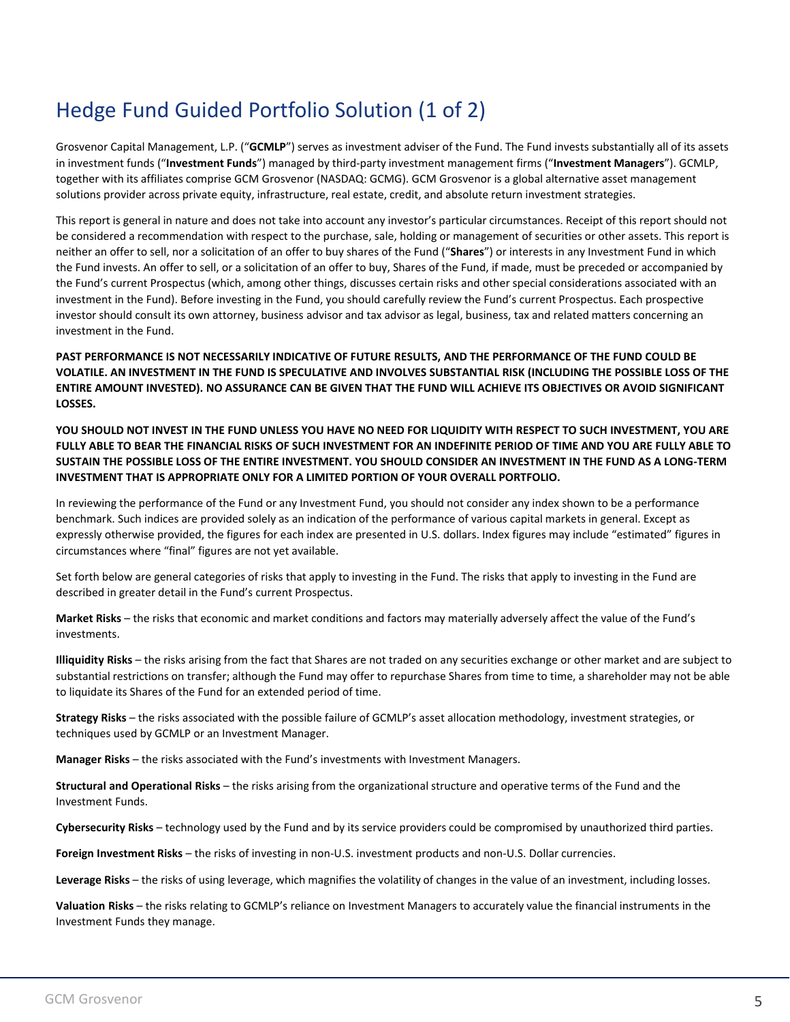### Hedge Fund Guided Portfolio Solution (1 of 2)

Grosvenor Capital Management, L.P. ("**GCMLP**") serves as investment adviser of the Fund. The Fund invests substantially all of its assets in investment funds ("**Investment Funds**") managed by third-party investment management firms ("**Investment Managers**"). GCMLP, together with its affiliates comprise GCM Grosvenor (NASDAQ: GCMG). GCM Grosvenor is a global alternative asset management solutions provider across private equity, infrastructure, real estate, credit, and absolute return investment strategies.

This report is general in nature and does not take into account any investor's particular circumstances. Receipt of this report should not be considered a recommendation with respect to the purchase, sale, holding or management of securities or other assets. This report is neither an offer to sell, nor a solicitation of an offer to buy shares of the Fund ("**Shares**") or interests in any Investment Fund in which the Fund invests. An offer to sell, or a solicitation of an offer to buy, Shares of the Fund, if made, must be preceded or accompanied by the Fund's current Prospectus (which, among other things, discusses certain risks and other special considerations associated with an investment in the Fund). Before investing in the Fund, you should carefully review the Fund's current Prospectus. Each prospective investor should consult its own attorney, business advisor and tax advisor as legal, business, tax and related matters concerning an investment in the Fund.

**PAST PERFORMANCE IS NOT NECESSARILY INDICATIVE OF FUTURE RESULTS, AND THE PERFORMANCE OF THE FUND COULD BE VOLATILE. AN INVESTMENT IN THE FUND IS SPECULATIVE AND INVOLVES SUBSTANTIAL RISK (INCLUDING THE POSSIBLE LOSS OF THE ENTIRE AMOUNT INVESTED). NO ASSURANCE CAN BE GIVEN THAT THE FUND WILL ACHIEVE ITS OBJECTIVES OR AVOID SIGNIFICANT LOSSES.** 

**YOU SHOULD NOT INVEST IN THE FUND UNLESS YOU HAVE NO NEED FOR LIQUIDITY WITH RESPECT TO SUCH INVESTMENT, YOU ARE FULLY ABLE TO BEAR THE FINANCIAL RISKS OF SUCH INVESTMENT FOR AN INDEFINITE PERIOD OF TIME AND YOU ARE FULLY ABLE TO SUSTAIN THE POSSIBLE LOSS OF THE ENTIRE INVESTMENT. YOU SHOULD CONSIDER AN INVESTMENT IN THE FUND AS A LONG-TERM INVESTMENT THAT IS APPROPRIATE ONLY FOR A LIMITED PORTION OF YOUR OVERALL PORTFOLIO.**

In reviewing the performance of the Fund or any Investment Fund, you should not consider any index shown to be a performance benchmark. Such indices are provided solely as an indication of the performance of various capital markets in general. Except as expressly otherwise provided, the figures for each index are presented in U.S. dollars. Index figures may include "estimated" figures in circumstances where "final" figures are not yet available.

Set forth below are general categories of risks that apply to investing in the Fund. The risks that apply to investing in the Fund are described in greater detail in the Fund's current Prospectus.

**Market Risks** – the risks that economic and market conditions and factors may materially adversely affect the value of the Fund's investments.

**Illiquidity Risks** – the risks arising from the fact that Shares are not traded on any securities exchange or other market and are subject to substantial restrictions on transfer; although the Fund may offer to repurchase Shares from time to time, a shareholder may not be able to liquidate its Shares of the Fund for an extended period of time.

**Strategy Risks** – the risks associated with the possible failure of GCMLP's asset allocation methodology, investment strategies, or techniques used by GCMLP or an Investment Manager.

**Manager Risks** – the risks associated with the Fund's investments with Investment Managers.

**Structural and Operational Risks** – the risks arising from the organizational structure and operative terms of the Fund and the Investment Funds.

**Cybersecurity Risks** – technology used by the Fund and by its service providers could be compromised by unauthorized third parties.

**Foreign Investment Risks** – the risks of investing in non-U.S. investment products and non-U.S. Dollar currencies.

**Leverage Risks** – the risks of using leverage, which magnifies the volatility of changes in the value of an investment, including losses.

**Valuation Risks** – the risks relating to GCMLP's reliance on Investment Managers to accurately value the financial instruments in the Investment Funds they manage.